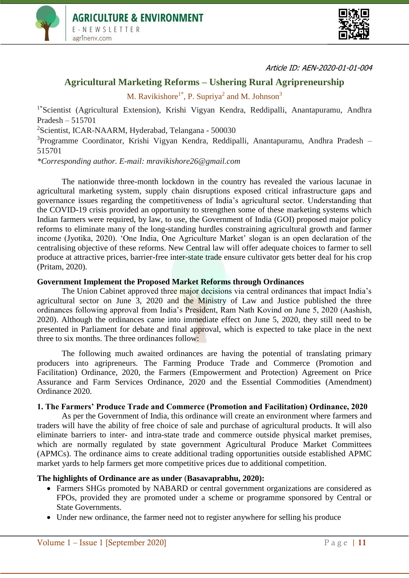



Article ID: AEN-2020-01-01-004

# **Agricultural Marketing Reforms – Ushering Rural Agripreneurship**

M. Ravikishore<sup>1\*</sup>, P. Supriya<sup>2</sup> and M. Johnson<sup>3</sup>

<sup>1\*</sup>Scientist (Agricultural Extension), Krishi Vigyan Kendra, Reddipalli, Anantapuramu, Andhra Pradesh – 515701

<sup>2</sup>Scientist, ICAR-NAARM, Hyderabad, Telangana - 500030

<sup>3</sup>Programme Coordinator, Krishi Vigyan Kendra, Reddipalli, Anantapuramu, Andhra Pradesh – 515701

*\*Corresponding author. E-mail: [mravikishore26@gmail.com](mailto:mravikishore26@gmail.com)*

The nationwide three-month lockdown in the country has revealed the various lacunae in agricultural marketing system, supply chain disruptions exposed critical infrastructure gaps and governance issues regarding the competitiveness of India's agricultural sector. Understanding that the COVID-19 crisis provided an opportunity to strengthen some of these marketing systems which Indian farmers were required, by law, to use, the Government of India (GOI) proposed major policy reforms to eliminate many of the long-standing hurdles constraining agricultural growth and farmer income (Jyotika, 2020). 'One India, One Agriculture Market' slogan is an open declaration of the centralising objective of these reforms. New Central law will offer adequate choices to farmer to sell produce at attractive prices, barrier-free inter-state trade ensure cultivator gets better deal for his crop (Pritam, 2020).

# **Government Implement the Proposed Market Reforms through Ordinances**

The Union Cabinet approved three major decisions via central ordinances that impact India's agricultural sector on June 3, 2020 and the Ministry of Law and Justice published the three ordinances following approval from India's President, Ram Nath Kovind on June 5, 2020 (Aashish, 2020). Although the ordinances came into immediate effect on June 5, 2020, they still need to be presented in Parliament for debate and final approval, which is expected to take place in the next three to six months. The three ordinances follow:

The following much awaited ordinances are having the potential of translating primary producers into agripreneurs. The Farming Produce Trade and Commerce (Promotion and Facilitation) Ordinance, 2020, the Farmers (Empowerment and Protection) Agreement on Price Assurance and Farm Services Ordinance, 2020 and the Essential Commodities (Amendment) Ordinance 2020.

# **1. The Farmers' Produce Trade and Commerce (Promotion and Facilitation) Ordinance, 2020**

As per the Government of India, this ordinance will create an environment where farmers and traders will have the ability of free choice of sale and purchase of agricultural products. It will also eliminate barriers to inter- and intra-state trade and commerce outside physical market premises, which are normally regulated by state government Agricultural Produce Market Committees (APMCs). The ordinance aims to create additional trading opportunities outside established APMC market yards to help farmers get more competitive prices due to additional competition.

#### **The highlights of Ordinance are as under** (**Basavaprabhu, 2020):**

- Farmers SHGs promoted by NABARD or central government organizations are considered as FPOs, provided they are promoted under a scheme or programme sponsored by Central or State Governments.
- Under new ordinance, the farmer need not to register anywhere for selling his produce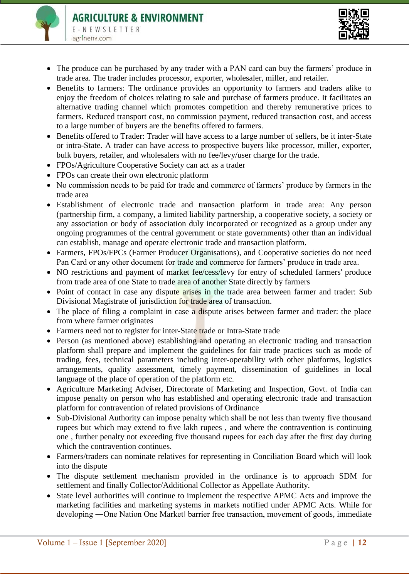

- The produce can be purchased by any trader with a PAN card can buy the farmers' produce in trade area. The trader includes processor, exporter, wholesaler, miller, and retailer.
- Benefits to farmers: The ordinance provides an opportunity to farmers and traders alike to enjoy the freedom of choices relating to sale and purchase of farmers produce. It facilitates an alternative trading channel which promotes competition and thereby remunerative prices to farmers. Reduced transport cost, no commission payment, reduced transaction cost, and access to a large number of buyers are the benefits offered to farmers.
- Benefits offered to Trader: Trader will have access to a large number of sellers, be it inter-State or intra-State. A trader can have access to prospective buyers like processor, miller, exporter, bulk buyers, retailer, and wholesalers with no fee/levy/user charge for the trade.
- FPOs/Agriculture Cooperative Society can act as a trader
- FPOs can create their own electronic platform
- No commission needs to be paid for trade and commerce of farmers' produce by farmers in the trade area
- Establishment of electronic trade and transaction platform in trade area: Any person (partnership firm, a company, a limited liability partnership, a cooperative society, a society or any association or body of association duly incorporated or recognized as a group under any ongoing programmes of the central government or state governments) other than an individual can establish, manage and operate electronic trade and transaction platform.
- Farmers, FPOs/FPCs (Farmer Producer Organisations), and Cooperative societies do not need Pan Card or any other document for trade and commerce for farmers' produce in trade area.
- NO restrictions and payment of market fee/cess/levy for entry of scheduled farmers' produce from trade area of one State to trade area of another State directly by farmers
- Point of contact in case any dispute arises in the trade area between farmer and trader: Sub Divisional Magistrate of jurisdiction for trade area of transaction.
- The place of filing a complaint in case a dispute arises between farmer and trader: the place from where farmer originates
- Farmers need not to register for inter-State trade or Intra-State trade
- Person (as mentioned above) establishing and operating an electronic trading and transaction platform shall prepare and implement the guidelines for fair trade practices such as mode of trading, fees, technical parameters including inter-operability with other platforms, logistics arrangements, quality assessment, timely payment, dissemination of guidelines in local language of the place of operation of the platform etc.
- Agriculture Marketing Adviser, Directorate of Marketing and Inspection, Govt. of India can impose penalty on person who has established and operating electronic trade and transaction platform for contravention of related provisions of Ordinance
- Sub-Divisional Authority can impose penalty which shall be not less than twenty five thousand rupees but which may extend to five lakh rupees , and where the contravention is continuing one , further penalty not exceeding five thousand rupees for each day after the first day during which the contravention continues.
- Farmers/traders can nominate relatives for representing in Conciliation Board which will look into the dispute
- The dispute settlement mechanism provided in the ordinance is to approach SDM for settlement and finally Collector/Additional Collector as Appellate Authority.
- State level authorities will continue to implement the respective APMC Acts and improve the marketing facilities and marketing systems in markets notified under APMC Acts. While for developing —One Nation One Market barrier free transaction, movement of goods, immediate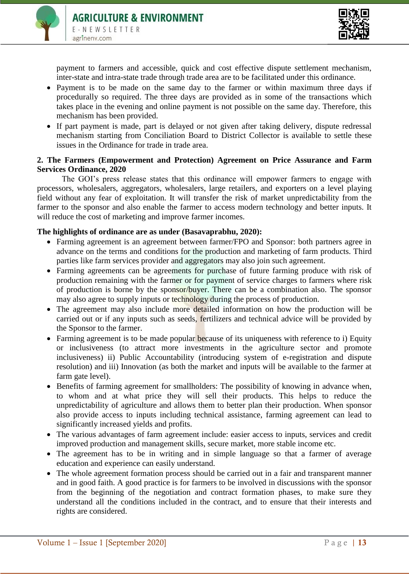



payment to farmers and accessible, quick and cost effective dispute settlement mechanism, inter-state and intra-state trade through trade area are to be facilitated under this ordinance.

- Payment is to be made on the same day to the farmer or within maximum three days if procedurally so required. The three days are provided as in some of the transactions which takes place in the evening and online payment is not possible on the same day. Therefore, this mechanism has been provided.
- If part payment is made, part is delayed or not given after taking delivery, dispute redressal mechanism starting from Conciliation Board to District Collector is available to settle these issues in the Ordinance for trade in trade area.

# **2. The Farmers (Empowerment and Protection) Agreement on Price Assurance and Farm Services Ordinance, 2020**

The GOI's press release states that this ordinance will empower farmers to engage with processors, wholesalers, aggregators, wholesalers, large retailers, and exporters on a level playing field without any fear of exploitation. It will transfer the risk of market unpredictability from the farmer to the sponsor and also enable the farmer to access modern technology and better inputs. It will reduce the cost of marketing and improve farmer incomes.

# **The highlights of ordinance are as under (Basavaprabhu, 2020):**

- Farming agreement is an agreement between farmer/FPO and Sponsor: both partners agree in advance on the terms and conditions for the production and marketing of farm products. Third parties like farm services provider and aggregators may also join such agreement.
- Farming agreements can be agreements for purchase of future farming produce with risk of production remaining with the farmer or for payment of service charges to farmers where risk of production is borne by the sponsor/buyer. There can be a combination also. The sponsor may also agree to supply inputs or technology during the process of production.
- The agreement may also include more detailed information on how the production will be carried out or if any inputs such as seeds, fertilizers and technical advice will be provided by the Sponsor to the farmer.
- Farming agreement is to be made popular because of its uniqueness with reference to i) Equity or inclusiveness (to attract more investments in the agriculture sector and promote inclusiveness) ii) Public Accountability (introducing system of e-registration and dispute resolution) and iii) Innovation (as both the market and inputs will be available to the farmer at farm gate level).
- Benefits of farming agreement for smallholders: The possibility of knowing in advance when, to whom and at what price they will sell their products. This helps to reduce the unpredictability of agriculture and allows them to better plan their production. When sponsor also provide access to inputs including technical assistance, farming agreement can lead to significantly increased yields and profits.
- The various advantages of farm agreement include: easier access to inputs, services and credit improved production and management skills, secure market, more stable income etc.
- The agreement has to be in writing and in simple language so that a farmer of average education and experience can easily understand.
- The whole agreement formation process should be carried out in a fair and transparent manner and in good faith. A good practice is for farmers to be involved in discussions with the sponsor from the beginning of the negotiation and contract formation phases, to make sure they understand all the conditions included in the contract, and to ensure that their interests and rights are considered.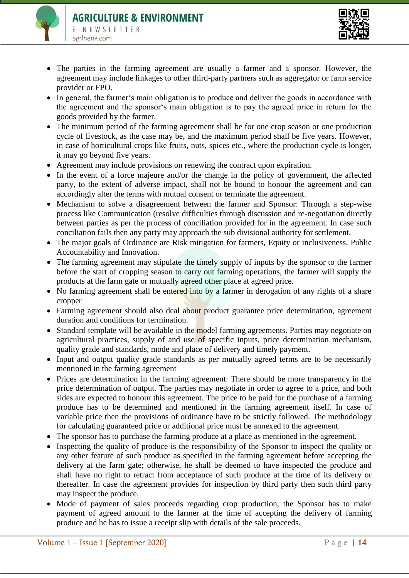



- The parties in the farming agreement are usually a farmer and a sponsor. However, the agreement may include linkages to other third-party partners such as aggregator or farm service provider or FPO.
- In general, the farmer's main obligation is to produce and deliver the goods in accordance with the agreement and the sponsor's main obligation is to pay the agreed price in return for the goods provided by the farmer.
- The minimum period of the farming agreement shall be for one crop season or one production cycle of livestock, as the case may be, and the maximum period shall be five years. However, in case of horticultural crops like fruits, nuts, spices etc., where the production cycle is longer, it may go beyond five years.
- Agreement may include provisions on renewing the contract upon expiration.
- In the event of a force majeure and/or the change in the policy of government, the affected party, to the extent of adverse impact, shall not be bound to honour the agreement and can accordingly alter the terms with mutual consent or terminate the agreement.
- Mechanism to solve a disagreement between the farmer and Sponsor: Through a step-wise process like Communication (resolve difficulties through discussion and re-negotiation directly between parties as per the process of conciliation provided for in the agreement. In case such conciliation fails then any party may approach the sub divisional authority for settlement.
- The major goals of Ordinance are Risk mitigation for farmers, Equity or inclusiveness, Public Accountability and Innovation.
- The farming agreement may stipulate the timely supply of inputs by the sponsor to the farmer before the start of cropping season to carry out farming operations, the farmer will supply the products at the farm gate or mutually agreed other place at agreed price.
- No farming agreement shall be entered into by a farmer in derogation of any rights of a share cropper
- Farming agreement should also deal about product guarantee price determination, agreement duration and conditions for termination.
- Standard template will be available in the model farming agreements. Parties may negotiate on agricultural practices, supply of and use of specific inputs, price determination mechanism, quality grade and standards, mode and place of delivery and timely payment.
- Input and output quality grade standards as per mutually agreed terms are to be necessarily mentioned in the farming agreement
- Prices are determination in the farming agreement: There should be more transparency in the price determination of output. The parties may negotiate in order to agree to a price, and both sides are expected to honour this agreement. The price to be paid for the purchase of a farming produce has to be determined and mentioned in the farming agreement itself. In case of variable price then the provisions of ordinance have to be strictly followed. The methodology for calculating guaranteed price or additional price must be annexed to the agreement.
- The sponsor has to purchase the farming produce at a place as mentioned in the agreement.
- Inspecting the quality of produce is the responsibility of the Sponsor to inspect the quality or any other feature of such produce as specified in the farming agreement before accepting the delivery at the farm gate; otherwise, he shall be deemed to have inspected the produce and shall have no right to retract from acceptance of such produce at the time of its delivery or thereafter. In case the agreement provides for inspection by third party then such third party may inspect the produce.
- Mode of payment of sales proceeds regarding crop production, the Sponsor has to make payment of agreed amount to the farmer at the time of accepting the delivery of farming produce and he has to issue a receipt slip with details of the sale proceeds.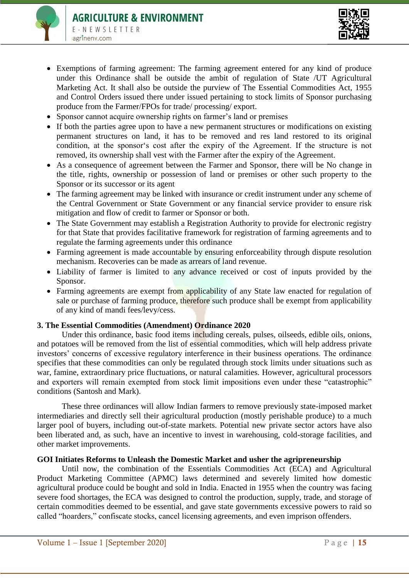



- Exemptions of farming agreement: The farming agreement entered for any kind of produce under this Ordinance shall be outside the ambit of regulation of State /UT Agricultural Marketing Act. It shall also be outside the purview of The Essential Commodities Act, 1955 and Control Orders issued there under issued pertaining to stock limits of Sponsor purchasing produce from the Farmer/FPOs for trade/ processing/ export.
- Sponsor cannot acquire ownership rights on farmer's land or premises
- If both the parties agree upon to have a new permanent structures or modifications on existing permanent structures on land, it has to be removed and res land restored to its original condition, at the sponsor's cost after the expiry of the Agreement. If the structure is not removed, its ownership shall vest with the Farmer after the expiry of the Agreement.
- As a consequence of agreement between the Farmer and Sponsor, there will be No change in the title, rights, ownership or possession of land or premises or other such property to the Sponsor or its successor or its agent
- The farming agreement may be linked with insurance or credit instrument under any scheme of the Central Government or State Government or any financial service provider to ensure risk mitigation and flow of credit to farmer or Sponsor or both.
- The State Government may establish a Registration Authority to provide for electronic registry for that State that provides facilitative framework for registration of farming agreements and to regulate the farming agreements under this ordinance
- Farming agreement is made accountable by ensuring enforceability through dispute resolution mechanism. Recoveries can be made as arrears of land revenue.
- Liability of farmer is limited to any advance received or cost of inputs provided by the Sponsor.
- Farming agreements are exempt from applicability of any State law enacted for regulation of sale or purchase of farming produce, therefore such produce shall be exempt from applicability of any kind of mandi fees/levy/cess.

# **3. The Essential Commodities (Amendment) Ordinance 2020**

Under this ordinance, basic food items including cereals, pulses, oilseeds, edible oils, onions, and potatoes will be removed from the list of essential commodities, which will help address private investors' concerns of excessive regulatory interference in their business operations. The ordinance specifies that these commodities can only be regulated through stock limits under situations such as war, famine, extraordinary price fluctuations, or natural calamities. However, agricultural processors and exporters will remain exempted from stock limit impositions even under these "catastrophic" conditions (Santosh and Mark).

These three ordinances will allow Indian farmers to remove previously state-imposed market intermediaries and directly sell their agricultural production (mostly perishable produce) to a much larger pool of buyers, including out-of-state markets. Potential new private sector actors have also been liberated and, as such, have an incentive to invest in warehousing, cold-storage facilities, and other market improvements.

# **GOI Initiates Reforms to Unleash the Domestic Market and usher the agripreneurship**

Until now, the combination of the Essentials Commodities Act (ECA) and Agricultural Product Marketing Committee (APMC) laws determined and severely limited how domestic agricultural produce could be bought and sold in India. Enacted in 1955 when the country was facing severe food shortages, the ECA was designed to control the production, supply, trade, and storage of certain commodities deemed to be essential, and gave state governments excessive powers to raid so called "hoarders," confiscate stocks, cancel licensing agreements, and even imprison offenders.